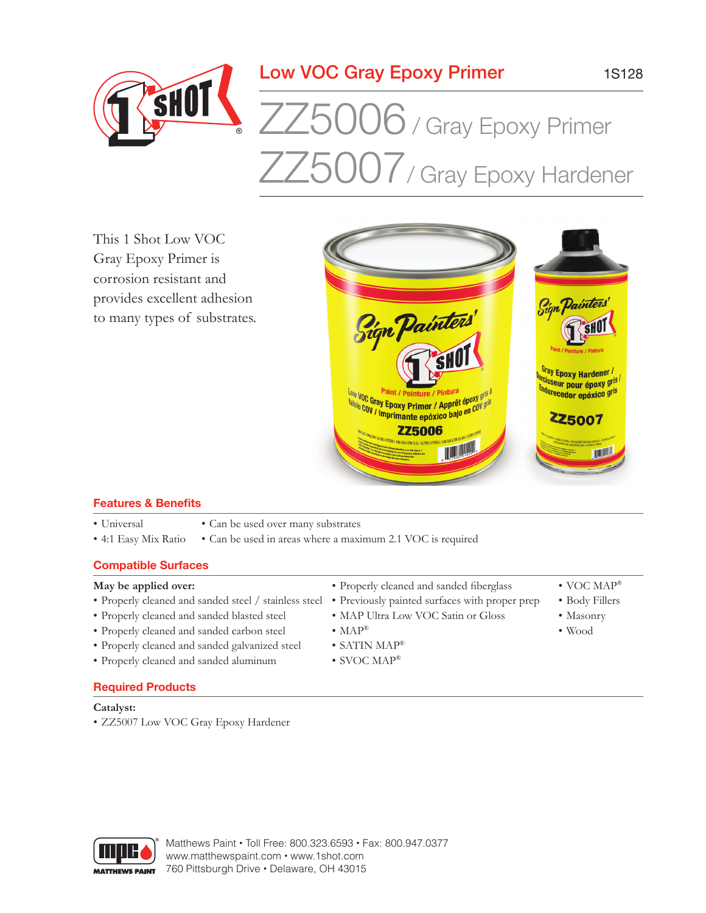## Low VOC Gray Epoxy Primer

# $ZZ5006$  / Gray Epoxy Primer ZZ5007/ Gray Epoxy Hardener

This 1 Shot Low VOC Gray Epoxy Primer is corrosion resistant and provides excellent adhesion to many types of substrates.

SHOT



### **Features & Benefits**

- Universal
- Can be used over many substrates
- 4:1 Easy Mix Ratio • Can be used in areas where a maximum 2.1 VOC is required

### **Compatible Surfaces**

#### **May be applied over:**

- Properly cleaned and sanded steel / stainless steel Previously painted surfaces with proper prep
- Properly cleaned and sanded blasted steel
- Properly cleaned and sanded carbon steel
- Properly cleaned and sanded galvanized steel
- Properly cleaned and sanded aluminum
- • Properly cleaned and sanded fiberglass
- MAP Ultra Low VOC Satin or Gloss
- $MAP^{\circledR}$
- SATIN MAP®
- SVOC MAP<sup>®</sup>

### **Required Products**

#### **Catalyst:**

• ZZ5007 Low VOC Gray Epoxy Hardener



Matthews Paint • Toll Free: 800.323.6593 • Fax: 800.947.0377 www.matthewspaint.com • www.1shot.com 760 Pittsburgh Drive • Delaware, OH 43015

- VOC MAP®
- Body Fillers
- Masonry
- Wood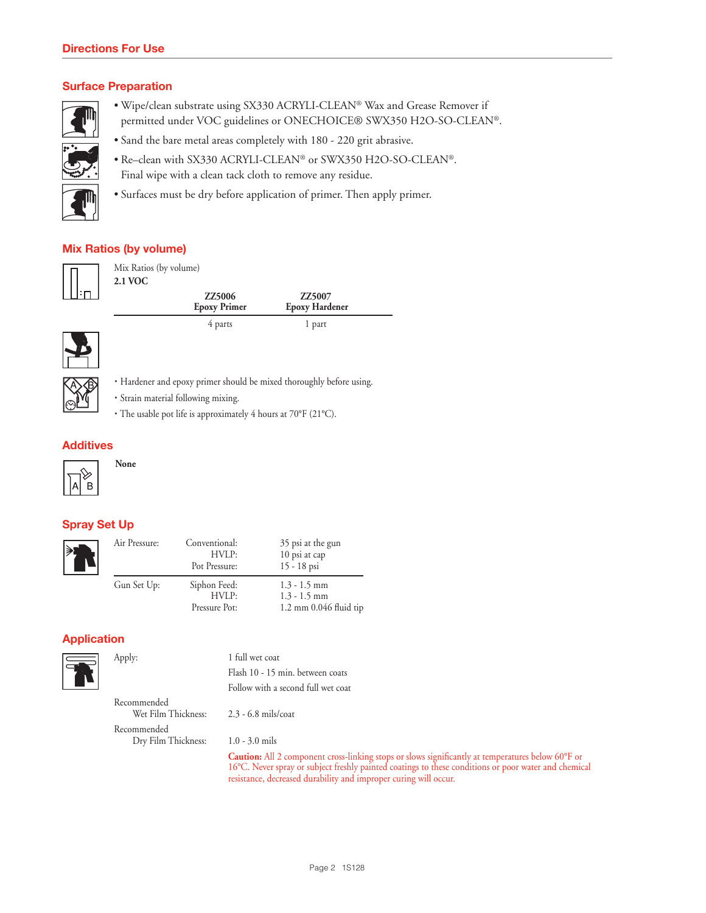#### **Surface Preparation**



- Wipe/clean substrate using SX330 ACRYLI-CLEAN® Wax and Grease Remover if permitted under VOC guidelines or ONECHOICE® SWX350 H2O-SO-CLEAN®.
- Sand the bare metal areas completely with 180 220 grit abrasive.
- Re–clean with SX330 ACRYLI-CLEAN® or SWX350 H2O-SO-CLEAN®. Final wipe with a clean tack cloth to remove any residue.
- Surfaces must be dry before application of primer. Then apply primer.

### **Mix Ratios (by volume)**



Mix Ratios (by volume) **2.1 VOC**

| <b>ZZ5006</b><br><b>Epoxy Primer</b> | ZZ5007<br><b>Epoxy Hardener</b> |  |
|--------------------------------------|---------------------------------|--|
| 4 parts                              | 1 part                          |  |





- · Hardener and epoxy primer should be mixed thoroughly before using.
- · Strain material following mixing.
- · The usable pot life is approximately 4 hours at 70°F (21°C).

#### **Additives**



**None**

### **Spray Set Up**

| ≽¦ | Air Pressure: | Conventional:<br>HVLP:<br>Pot Pressure: | 35 psi at the gun<br>10 psi at cap<br>15 - 18 psi                    |
|----|---------------|-----------------------------------------|----------------------------------------------------------------------|
|    | Gun Set Up:   | Siphon Feed:<br>HVLP:<br>Pressure Pot:  | $1.3 - 1.5$ mm<br>$1.3 - 1.5$ mm<br>$1.2 \text{ mm}$ 0.046 fluid tip |

#### **Application**



Apply: 1 full wet coat Flash 10 - 15 min. between coats Follow with a second full wet coat

Recommended Wet Film Thickness: 2.3 - 6.8 mils/coat Recommended Dry Film Thickness: 1.0 - 3.0 mils

 **Caution:** All 2 component cross-linking stops or slows significantly at temperatures below 60°F or 16°C. Never spray or subject freshly painted coatings to these conditions or poor water and chemical resistance, decreased durability and improper curing will occur.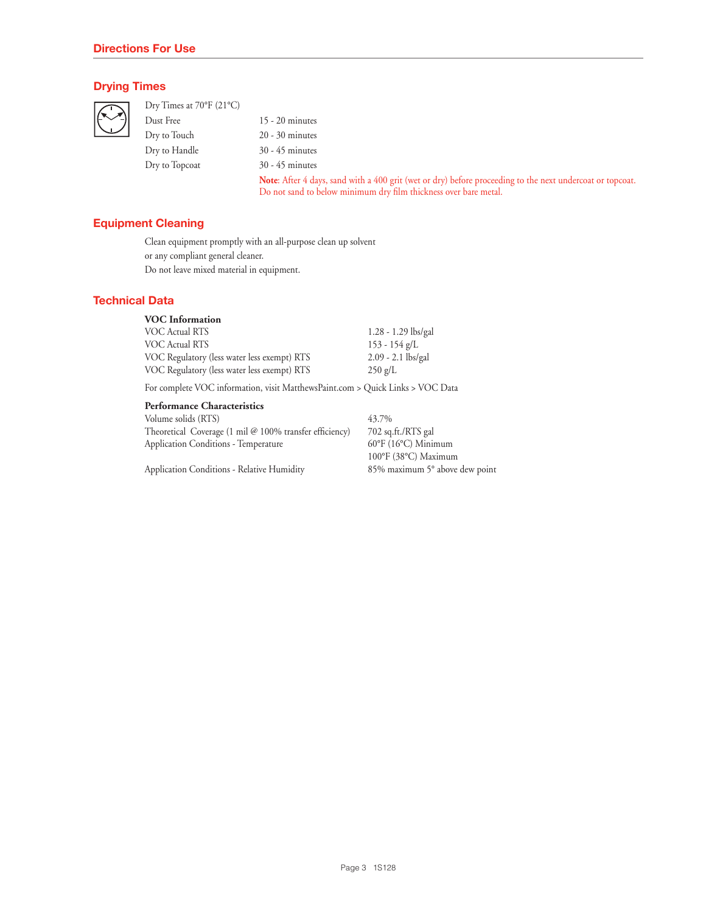#### **Drying Times**

Dry Times at 70°F (21°C)

Dust Free 15 - 20 minutes Dry to Touch 20 - 30 minutes Dry to Handle 30 - 45 minutes Dry to Topcoat 30 - 45 minutes

Note: After 4 days, sand with a 400 grit (wet or dry) before proceeding to the next undercoat or topcoat. Do not sand to below minimum dry film thickness over bare metal.

#### **Equipment Cleaning**

Clean equipment promptly with an all-purpose clean up solvent or any compliant general cleaner. Do not leave mixed material in equipment.

#### **Technical Data**

| <b>VOC</b> Information                      |                       |
|---------------------------------------------|-----------------------|
| VOC Actual RTS                              | $1.28 - 1.29$ lbs/gal |
| VOC Actual RTS                              | $153 - 154$ g/L       |
| VOC Regulatory (less water less exempt) RTS | $2.09 - 2.1$ lbs/gal  |
| VOC Regulatory (less water less exempt) RTS | $250 \text{ g/L}$     |

For complete VOC information, visit MatthewsPaint.com > Quick Links > VOC Data

#### **Performance Characteristics**

Volume solids (RTS) Theoretical Coverage (1 mil @ 100% transfer efficiency) Application Conditions - Temperature

Application Conditions - Relative Humidity

43.7% 702 sq.ft./RTS gal 60°F (16°C) Minimum 100°F (38°C) Maximum 85% maximum 5° above dew point